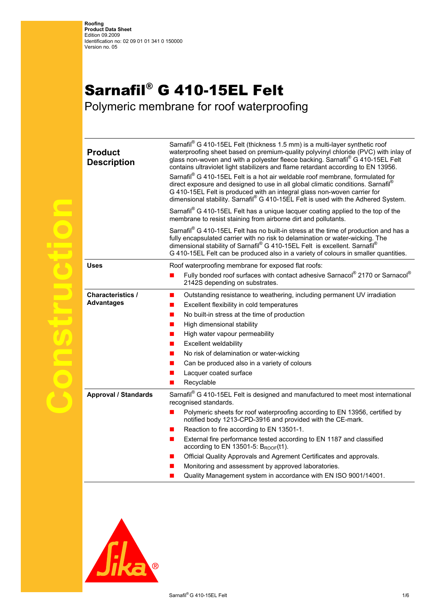## Sarnafil® G 410-15EL Felt

Polymeric membrane for roof waterproofing

| <b>Product</b><br><b>Description</b>          | Sarnafil® G 410-15EL Felt (thickness 1.5 mm) is a multi-layer synthetic roof<br>waterproofing sheet based on premium-quality polyvinyl chloride (PVC) with inlay of<br>glass non-woven and with a polyester fleece backing. Sarnafil® G 410-15EL Felt<br>contains ultraviolet light stabilizers and flame retardant according to EN 13956.<br>Sarnafil® G 410-15EL Felt is a hot air weldable roof membrane, formulated for<br>direct exposure and designed to use in all global climatic conditions. Sarnafil®<br>G 410-15EL Felt is produced with an integral glass non-woven carrier for<br>dimensional stability. Sarnafil® G 410-15EL Felt is used with the Adhered System.<br>Sarnafil <sup>®</sup> G 410-15EL Felt has a unique lacquer coating applied to the top of the<br>membrane to resist staining from airborne dirt and pollutants.<br>Sarnafil® G 410-15EL Felt has no built-in stress at the time of production and has a<br>fully encapsulated carrier with no risk to delamination or water-wicking. The<br>dimensional stability of Sarnafil® G 410-15EL Felt is excellent. Sarnafil®<br>G 410-15EL Felt can be produced also in a variety of colours in smaller quantities. |
|-----------------------------------------------|--------------------------------------------------------------------------------------------------------------------------------------------------------------------------------------------------------------------------------------------------------------------------------------------------------------------------------------------------------------------------------------------------------------------------------------------------------------------------------------------------------------------------------------------------------------------------------------------------------------------------------------------------------------------------------------------------------------------------------------------------------------------------------------------------------------------------------------------------------------------------------------------------------------------------------------------------------------------------------------------------------------------------------------------------------------------------------------------------------------------------------------------------------------------------------------------------|
| <b>Uses</b>                                   | Roof waterproofing membrane for exposed flat roofs:                                                                                                                                                                                                                                                                                                                                                                                                                                                                                                                                                                                                                                                                                                                                                                                                                                                                                                                                                                                                                                                                                                                                              |
|                                               | Fully bonded roof surfaces with contact adhesive Sarnacol® 2170 or Sarnacol®<br>2142S depending on substrates.                                                                                                                                                                                                                                                                                                                                                                                                                                                                                                                                                                                                                                                                                                                                                                                                                                                                                                                                                                                                                                                                                   |
| <b>Characteristics /</b><br><b>Advantages</b> | Outstanding resistance to weathering, including permanent UV irradiation<br>■<br>Excellent flexibility in cold temperatures<br>No built-in stress at the time of production<br>High dimensional stability<br>High water vapour permeability<br><b>Excellent weldability</b><br>ш<br>No risk of delamination or water-wicking<br>Can be produced also in a variety of colours<br>Lacquer coated surface<br>Recyclable                                                                                                                                                                                                                                                                                                                                                                                                                                                                                                                                                                                                                                                                                                                                                                             |
| <b>Approval / Standards</b>                   | Sarnafil® G 410-15EL Felt is designed and manufactured to meet most international<br>recognised standards.<br>Polymeric sheets for roof waterproofing according to EN 13956, certified by<br>notified body 1213-CPD-3916 and provided with the CE-mark.<br>Reaction to fire according to EN 13501-1.                                                                                                                                                                                                                                                                                                                                                                                                                                                                                                                                                                                                                                                                                                                                                                                                                                                                                             |
|                                               | External fire performance tested according to EN 1187 and classified<br>according to EN 13501-5: $B_{ROOF}(t1)$ .<br>Official Quality Approvals and Agrement Certificates and approvals.<br>Monitoring and assessment by approved laboratories.<br>Quality Management system in accordance with EN ISO 9001/14001.                                                                                                                                                                                                                                                                                                                                                                                                                                                                                                                                                                                                                                                                                                                                                                                                                                                                               |
|                                               |                                                                                                                                                                                                                                                                                                                                                                                                                                                                                                                                                                                                                                                                                                                                                                                                                                                                                                                                                                                                                                                                                                                                                                                                  |



**Construction**

**TOSTFISH** 

 $\bigodot$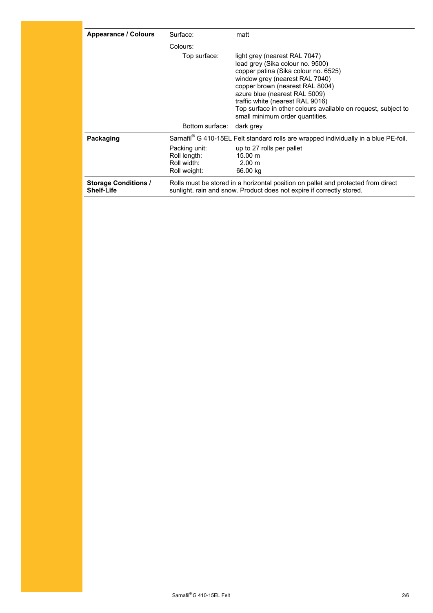| <b>Appearance / Colours</b>                      | Surface:                                                     | matt                                                                                                                                                                                                                                                                                                                                                    |
|--------------------------------------------------|--------------------------------------------------------------|---------------------------------------------------------------------------------------------------------------------------------------------------------------------------------------------------------------------------------------------------------------------------------------------------------------------------------------------------------|
|                                                  | Colours:                                                     |                                                                                                                                                                                                                                                                                                                                                         |
|                                                  | Top surface:                                                 | light grey (nearest RAL 7047)<br>lead grey (Sika colour no. 9500)<br>copper patina (Sika colour no. 6525)<br>window grey (nearest RAL 7040)<br>copper brown (nearest RAL 8004)<br>azure blue (nearest RAL 5009)<br>traffic white (nearest RAL 9016)<br>Top surface in other colours available on request, subject to<br>small minimum order quantities. |
|                                                  | Bottom surface:                                              | dark grey                                                                                                                                                                                                                                                                                                                                               |
| Packaging                                        |                                                              | Sarnafil® G 410-15EL Felt standard rolls are wrapped individually in a blue PE-foil.                                                                                                                                                                                                                                                                    |
|                                                  | Packing unit:<br>Roll length:<br>Roll width:<br>Roll weight: | up to 27 rolls per pallet<br>$15.00 \text{ m}$<br>2.00 m<br>66.00 kg                                                                                                                                                                                                                                                                                    |
| <b>Storage Conditions /</b><br><b>Shelf-Life</b> |                                                              | Rolls must be stored in a horizontal position on pallet and protected from direct<br>sunlight, rain and snow. Product does not expire if correctly stored.                                                                                                                                                                                              |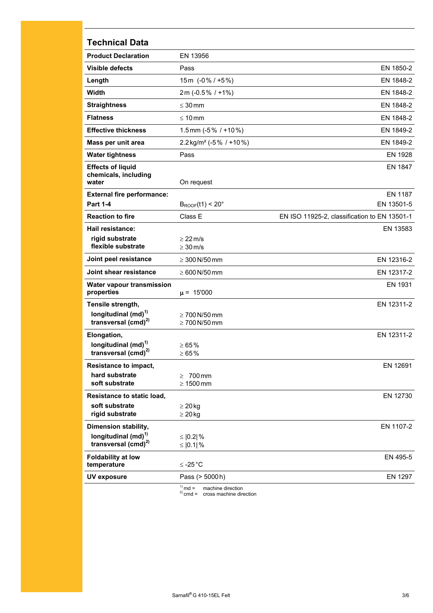## **Technical Data**

| <b>Product Declaration</b>                                  | EN 13956                                 |                                              |
|-------------------------------------------------------------|------------------------------------------|----------------------------------------------|
| <b>Visible defects</b>                                      | Pass                                     | EN 1850-2                                    |
| Length                                                      | 15m (-0%/+5%)                            | EN 1848-2                                    |
| Width                                                       | 2m (-0.5% / +1%)                         | EN 1848-2                                    |
| <b>Straightness</b>                                         | $\leq 30$ mm                             | EN 1848-2                                    |
| <b>Flatness</b>                                             | $\leq 10$ mm                             | EN 1848-2                                    |
| <b>Effective thickness</b>                                  | 1.5 mm ( $-5\%$ / $+10\%$ )              | EN 1849-2                                    |
| Mass per unit area                                          | $2.2$ kg/m <sup>2</sup> (-5% / +10%)     | EN 1849-2                                    |
| <b>Water tightness</b>                                      | Pass                                     | EN 1928                                      |
| <b>Effects of liquid</b><br>chemicals, including<br>water   | On request                               | EN 1847                                      |
| <b>External fire performance:</b>                           |                                          | <b>EN 1187</b>                               |
| <b>Part 1-4</b>                                             | $B_{ROOF}(t1) < 20^{\circ}$              | EN 13501-5                                   |
| <b>Reaction to fire</b>                                     | Class E                                  | EN ISO 11925-2, classification to EN 13501-1 |
| Hail resistance:                                            |                                          | EN 13583                                     |
| rigid substrate<br>flexible substrate                       | $\geq$ 22 m/s<br>$\geq 30$ m/s           |                                              |
| Joint peel resistance                                       | $\geq 300$ N/50 mm                       | EN 12316-2                                   |
| Joint shear resistance                                      | $\geq 600$ N/50 mm                       | EN 12317-2                                   |
| Water vapour transmission<br>properties                     | $\mu = 15'000$                           | EN 1931                                      |
| Tensile strength,                                           |                                          | EN 12311-2                                   |
| longitudinal (md) <sup>1)</sup><br>transversal $(cmd)^{2)}$ | $\geq 700$ N/50 mm<br>$\geq 700$ N/50 mm |                                              |
| Elongation,                                                 |                                          | EN 12311-2                                   |
| longitudinal (md) <sup>1)</sup><br>transversal $(cmd)^{2)}$ | $\ge 65\%$<br>$\ge 65\%$                 |                                              |
| Resistance to impact,                                       |                                          | EN 12691                                     |
| hard substrate<br>soft substrate                            | $\geq$<br>700 mm<br>$\geq 1500$ mm       |                                              |
| Resistance to static load,                                  |                                          | EN 12730                                     |
| soft substrate<br>rigid substrate                           | $\geq 20$ kg<br>$\geq 20$ kg             |                                              |
| Dimension stability,                                        |                                          | EN 1107-2                                    |
| longitudinal (md) <sup>1)</sup><br>transversal $(cmd)^{2}$  | ≤ $ 0.2 $ %<br>≤ $ 0.1 $ %               |                                              |
| <b>Foldability at low</b><br>temperature                    | $≤ -25 °C$                               | EN 495-5                                     |
| <b>UV exposure</b>                                          | Pass (> 5000h)                           | EN 1297                                      |
|                                                             | $^{(1)}$ md $-$ moching direction        |                                              |

<sup>1)</sup> md = machine direction<br><sup>2)</sup> cmd = cross machine direction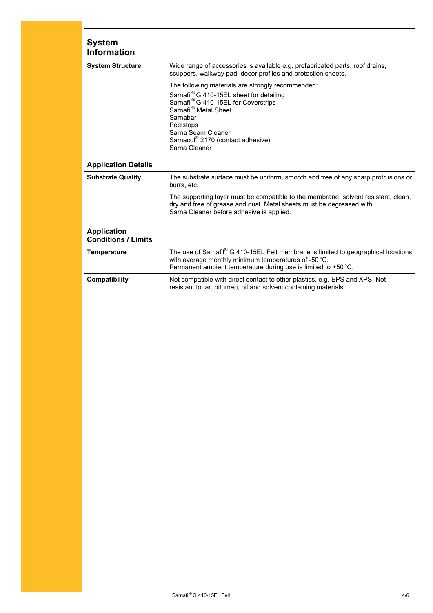| <b>System</b><br><b>Information</b>              |                                                                                                                                                                                                                                                                     |
|--------------------------------------------------|---------------------------------------------------------------------------------------------------------------------------------------------------------------------------------------------------------------------------------------------------------------------|
| <b>System Structure</b>                          | Wide range of accessories is available e.g. prefabricated parts, roof drains,<br>scuppers, walkway pad, decor profiles and protection sheets.                                                                                                                       |
|                                                  | The following materials are strongly recommended:<br>Sarnafil® G 410-15EL sheet for detailing<br>Sarnafil® G 410-15EL for Coverstrips<br>Sarnafil® Metal Sheet<br>Sarnabar<br>Peelstops<br>Sarna Seam Cleaner<br>Sarnacol® 2170 (contact adhesive)<br>Sarna Cleaner |
| <b>Application Details</b>                       |                                                                                                                                                                                                                                                                     |
| <b>Substrate Quality</b>                         | The substrate surface must be uniform, smooth and free of any sharp protrusions or<br>burrs, etc.                                                                                                                                                                   |
|                                                  | The supporting layer must be compatible to the membrane, solvent resistant, clean,<br>dry and free of grease and dust. Metal sheets must be degreased with<br>Sarna Cleaner before adhesive is applied.                                                             |
| <b>Application</b><br><b>Conditions / Limits</b> |                                                                                                                                                                                                                                                                     |
| <b>Temperature</b>                               | The use of Sarnafil® G 410-15EL Felt membrane is limited to geographical locations<br>with average monthly minimum temperatures of -50 °C.<br>Permanent ambient temperature during use is limited to +50 °C.                                                        |
| Compatibility                                    | Not compatible with direct contact to other plastics, e.g. EPS and XPS. Not<br>resistant to tar, bitumen, oil and solvent containing materials.                                                                                                                     |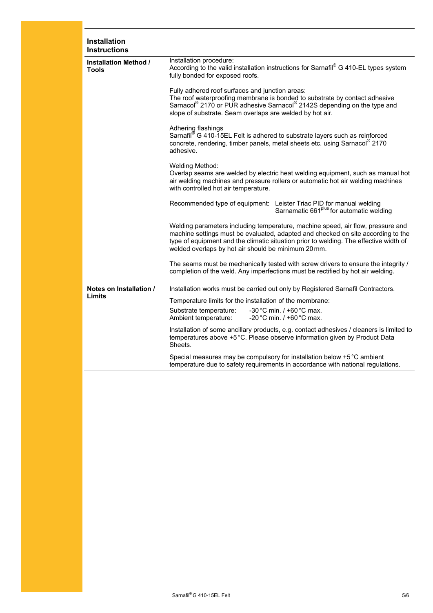| <b>Installation</b><br><b>Instructions</b> |                                                                                                                                                                                                                                                                                                                     |
|--------------------------------------------|---------------------------------------------------------------------------------------------------------------------------------------------------------------------------------------------------------------------------------------------------------------------------------------------------------------------|
| Installation Method /<br><b>Tools</b>      | Installation procedure:<br>According to the valid installation instructions for Sarnafil® G 410-EL types system<br>fully bonded for exposed roofs.                                                                                                                                                                  |
|                                            | Fully adhered roof surfaces and junction areas:<br>The roof waterproofing membrane is bonded to substrate by contact adhesive<br>Sarnacol® 2170 or PUR adhesive Sarnacol® 2142S depending on the type and<br>slope of substrate. Seam overlaps are welded by hot air.                                               |
|                                            | Adhering flashings<br>Sarnafil® G 410-15EL Felt is adhered to substrate layers such as reinforced<br>concrete, rendering, timber panels, metal sheets etc. using Sarnacol <sup>®</sup> 2170<br>adhesive.                                                                                                            |
|                                            | Welding Method:<br>Overlap seams are welded by electric heat welding equipment, such as manual hot<br>air welding machines and pressure rollers or automatic hot air welding machines<br>with controlled hot air temperature.                                                                                       |
|                                            | Recommended type of equipment: Leister Triac PID for manual welding<br>Sarnamatic 661 <sup>plus</sup> for automatic welding                                                                                                                                                                                         |
|                                            | Welding parameters including temperature, machine speed, air flow, pressure and<br>machine settings must be evaluated, adapted and checked on site according to the<br>type of equipment and the climatic situation prior to welding. The effective width of<br>welded overlaps by hot air should be minimum 20 mm. |
|                                            | The seams must be mechanically tested with screw drivers to ensure the integrity /<br>completion of the weld. Any imperfections must be rectified by hot air welding.                                                                                                                                               |
| Notes on Installation /                    | Installation works must be carried out only by Registered Sarnafil Contractors.                                                                                                                                                                                                                                     |
| Limits                                     | Temperature limits for the installation of the membrane:                                                                                                                                                                                                                                                            |
|                                            | -30 °C min. / +60 °C max.<br>Substrate temperature:<br>-20 °C min. $/$ +60 °C max.<br>Ambient temperature:                                                                                                                                                                                                          |
|                                            | Installation of some ancillary products, e.g. contact adhesives / cleaners is limited to<br>temperatures above +5 °C. Please observe information given by Product Data<br>Sheets.                                                                                                                                   |
|                                            | Special measures may be compulsory for installation below +5 °C ambient<br>temperature due to safety requirements in accordance with national regulations.                                                                                                                                                          |